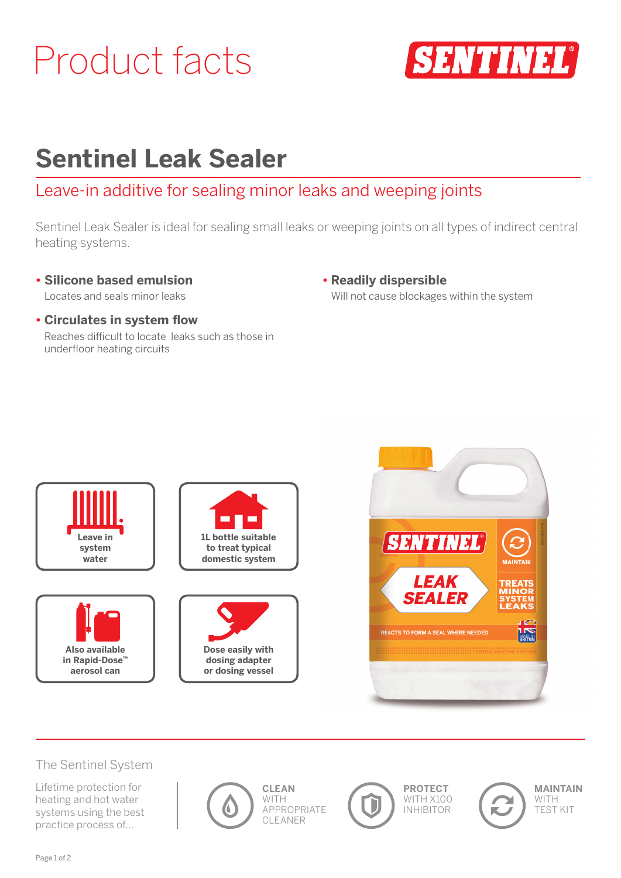# Product facts



## **Sentinel Leak Sealer**

### Leave-in additive for sealing minor leaks and weeping joints

Sentinel Leak Sealer is ideal for sealing small leaks or weeping joints on all types of indirect central heating systems.

**• Silicone based emulsion** Locates and seals minor leaks

- **Readily dispersible** Will not cause blockages within the system
- **Circulates in system flow** Reaches difficult to locate leaks such as those in underfloor heating circuits





#### The Sentinel System

Lifetime protection for heating and hot water systems using the best practice process of…







T



**MAINTAIN** WITH TEST KIT